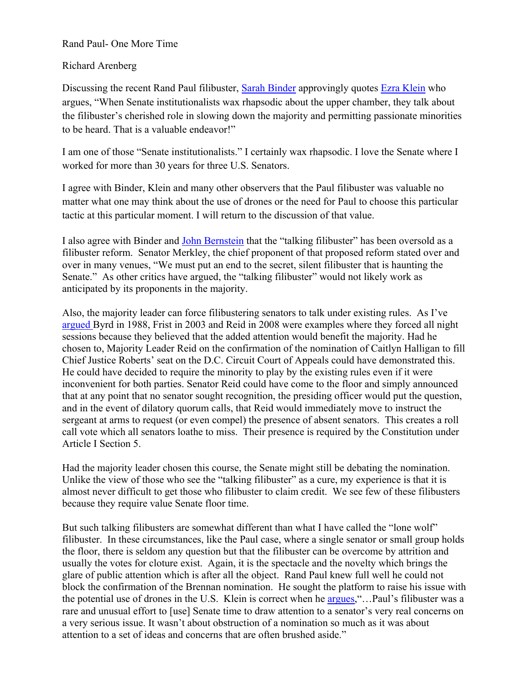Rand Paul- One More Time

## Richard Arenberg

Discussing the recent Rand Paul filibuster, Sarah Binder approvingly quotes Ezra Klein who argues, "When Senate institutionalists wax rhapsodic about the upper chamber, they talk about the filibuster's cherished role in slowing down the majority and permitting passionate minorities to be heard. That is a valuable endeavor!"

I am one of those "Senate institutionalists." I certainly wax rhapsodic. I love the Senate where I worked for more than 30 years for three U.S. Senators.

I agree with Binder, Klein and many other observers that the Paul filibuster was valuable no matter what one may think about the use of drones or the need for Paul to choose this particular tactic at this particular moment. I will return to the discussion of that value.

I also agree with Binder and John Bernstein that the "talking filibuster" has been oversold as a filibuster reform. Senator Merkley, the chief proponent of that proposed reform stated over and over in many venues, "We must put an end to the secret, silent filibuster that is haunting the Senate." As other critics have argued, the "talking filibuster" would not likely work as anticipated by its proponents in the majority.

Also, the majority leader can force filibustering senators to talk under existing rules. As I've argued Byrd in 1988, Frist in 2003 and Reid in 2008 were examples where they forced all night sessions because they believed that the added attention would benefit the majority. Had he chosen to, Majority Leader Reid on the confirmation of the nomination of Caitlyn Halligan to fill Chief Justice Roberts' seat on the D.C. Circuit Court of Appeals could have demonstrated this. He could have decided to require the minority to play by the existing rules even if it were inconvenient for both parties. Senator Reid could have come to the floor and simply announced that at any point that no senator sought recognition, the presiding officer would put the question, and in the event of dilatory quorum calls, that Reid would immediately move to instruct the sergeant at arms to request (or even compel) the presence of absent senators. This creates a roll call vote which all senators loathe to miss. Their presence is required by the Constitution under Article I Section 5.

Had the majority leader chosen this course, the Senate might still be debating the nomination. Unlike the view of those who see the "talking filibuster" as a cure, my experience is that it is almost never difficult to get those who filibuster to claim credit. We see few of these filibusters because they require value Senate floor time.

But such talking filibusters are somewhat different than what I have called the "lone wolf" filibuster. In these circumstances, like the Paul case, where a single senator or small group holds the floor, there is seldom any question but that the filibuster can be overcome by attrition and usually the votes for cloture exist. Again, it is the spectacle and the novelty which brings the glare of public attention which is after all the object. Rand Paul knew full well he could not block the confirmation of the Brennan nomination. He sought the platform to raise his issue with the potential use of drones in the U.S. Klein is correct when he argues,"…Paul's filibuster was a rare and unusual effort to [use] Senate time to draw attention to a senator's very real concerns on a very serious issue. It wasn't about obstruction of a nomination so much as it was about attention to a set of ideas and concerns that are often brushed aside."